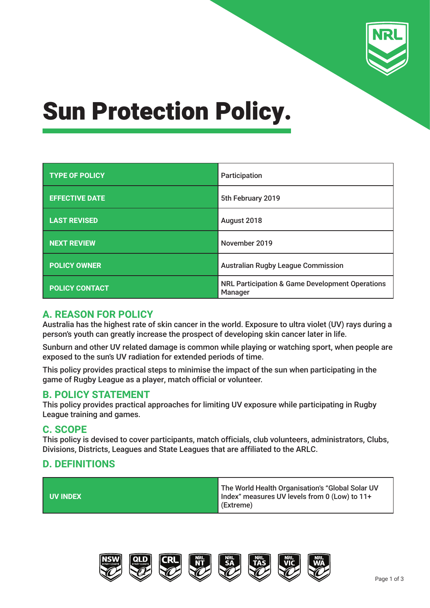

## Sun Protection Policy.

| <b>TYPE OF POLICY</b> | Participation                                                         |  |
|-----------------------|-----------------------------------------------------------------------|--|
| <b>EFFECTIVE DATE</b> | 5th February 2019                                                     |  |
| <b>LAST REVISED</b>   | August 2018                                                           |  |
| <b>NEXT REVIEW</b>    | November 2019                                                         |  |
| <b>POLICY OWNER</b>   | <b>Australian Rugby League Commission</b>                             |  |
| <b>POLICY CONTACT</b> | <b>NRL Participation &amp; Game Development Operations</b><br>Manager |  |

## **A. REASON FOR POLICY**

Australia has the highest rate of skin cancer in the world. Exposure to ultra violet (UV) rays during a person's youth can greatly increase the prospect of developing skin cancer later in life.

Sunburn and other UV related damage is common while playing or watching sport, when people are exposed to the sun's UV radiation for extended periods of time.

This policy provides practical steps to minimise the impact of the sun when participating in the game of Rugby League as a player, match official or volunteer.

## **B. POLICY STATEMENT**

This policy provides practical approaches for limiting UV exposure while participating in Rugby League training and games.

#### **C. SCOPE**

This policy is devised to cover participants, match officials, club volunteers, administrators, Clubs, Divisions, Districts, Leagues and State Leagues that are affiliated to the ARLC.

## **D. DEFINITIONS**



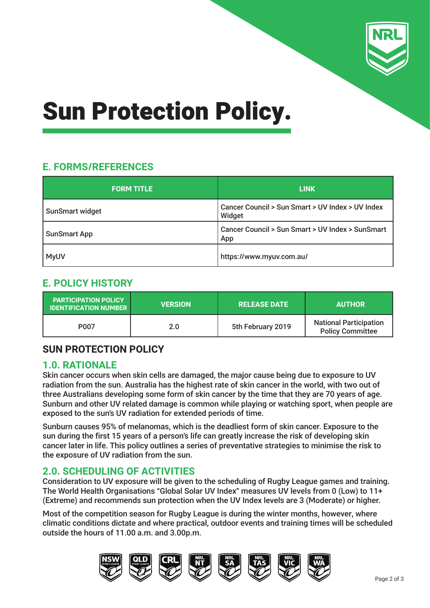

# Sun Protection Policy.

## **E. FORMS/REFERENCES**

| <b>FORM TITLE</b>      | <b>LINK</b>                                                |  |
|------------------------|------------------------------------------------------------|--|
| <b>SunSmart widget</b> | Cancer Council > Sun Smart > UV Index > UV Index<br>Widget |  |
| <b>SunSmart App</b>    | Cancer Council > Sun Smart > UV Index > SunSmart<br>App    |  |
| <b>MyUV</b>            | https://www.myuv.com.au/                                   |  |

## **E. POLICY HISTORY**

| <b>PARTICIPATION POLICY</b><br><b>IDENTIFICATION NUMBER</b> | <b>VERSION</b> | <b>RELEASE DATE</b> | <b>AUTHOR</b>                                            |
|-------------------------------------------------------------|----------------|---------------------|----------------------------------------------------------|
| P <sub>0</sub> 07                                           | 2.0            | 5th February 2019   | <b>National Participation</b><br><b>Policy Committee</b> |

## **SUN PROTECTION POLICY**

## **1.0. RATIONALE**

Skin cancer occurs when skin cells are damaged, the major cause being due to exposure to UV radiation from the sun. Australia has the highest rate of skin cancer in the world, with two out of three Australians developing some form of skin cancer by the time that they are 70 years of age. Sunburn and other UV related damage is common while playing or watching sport, when people are exposed to the sun's UV radiation for extended periods of time.

Sunburn causes 95% of melanomas, which is the deadliest form of skin cancer. Exposure to the sun during the first 15 years of a person's life can greatly increase the risk of developing skin cancer later in life. This policy outlines a series of preventative strategies to minimise the risk to the exposure of UV radiation from the sun.

## **2.0. SCHEDULING OF ACTIVITIES**

Consideration to UV exposure will be given to the scheduling of Rugby League games and training. The World Health Organisations "Global Solar UV Index" measures UV levels from 0 (Low) to 11+ (Extreme) and recommends sun protection when the UV Index levels are 3 (Moderate) or higher.

Most of the competition season for Rugby League is during the winter months, however, where climatic conditions dictate and where practical, outdoor events and training times will be scheduled outside the hours of 11.00 a.m. and 3.00p.m.